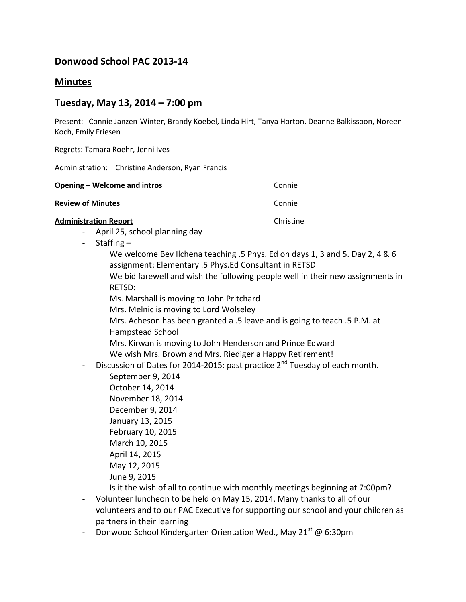# **Donwood School PAC 2013-14**

# **Minutes**

# **Tuesday, May 13, 2014 – 7:00 pm**

Present: Connie Janzen-Winter, Brandy Koebel, Linda Hirt, Tanya Horton, Deanne Balkissoon, Noreen Koch, Emily Friesen

Regrets: Tamara Roehr, Jenni Ives

Administration: Christine Anderson, Ryan Francis

| Opening – Welcome and intros | Connie |
|------------------------------|--------|
| <b>Review of Minutes</b>     | Connie |
|                              |        |

## **Administration Report Christian Christian Christian Christian Christian Christian Christian Christian Christian Christian Christian Christian Christian Christian Christian Christian Christian Christian Christian Christi**

- April 25, school planning day
- Staffing
	- We welcome Bev Ilchena teaching .5 Phys. Ed on days 1, 3 and 5. Day 2, 4 & 6 assignment: Elementary .5 Phys.Ed Consultant in RETSD
	- We bid farewell and wish the following people well in their new assignments in RETSD:
	- Ms. Marshall is moving to John Pritchard
	- Mrs. Melnic is moving to Lord Wolseley
	- Mrs. Acheson has been granted a .5 leave and is going to teach .5 P.M. at Hampstead School
	- Mrs. Kirwan is moving to John Henderson and Prince Edward We wish Mrs. Brown and Mrs. Riediger a Happy Retirement!
- Discussion of Dates for 2014-2015: past practice  $2^{nd}$  Tuesday of each month.
	- September 9, 2014 October 14, 2014 November 18, 2014 December 9, 2014 January 13, 2015 February 10, 2015 March 10, 2015 April 14, 2015 May 12, 2015 June 9, 2015
- Is it the wish of all to continue with monthly meetings beginning at 7:00pm?
- Volunteer luncheon to be held on May 15, 2014. Many thanks to all of our volunteers and to our PAC Executive for supporting our school and your children as partners in their learning
- Donwood School Kindergarten Orientation Wed., May 21 $^{\rm st}$  @ 6:30pm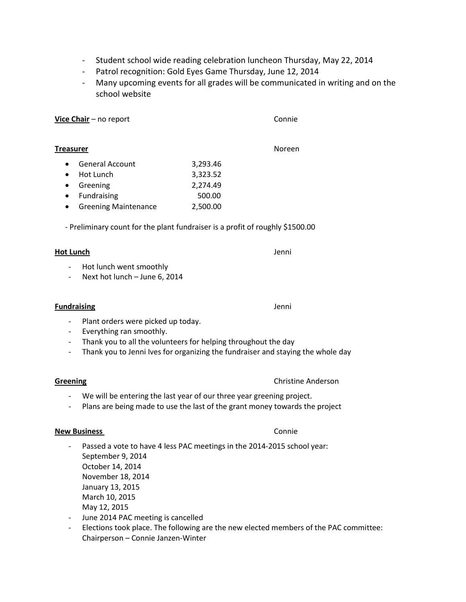- Student school wide reading celebration luncheon Thursday, May 22, 2014
- Patrol recognition: Gold Eyes Game Thursday, June 12, 2014
- Many upcoming events for all grades will be communicated in writing and on the school website

Vice Chair – no report Connie

### **Treasurer** Noreen

- General Account 3,293.46 • Hot Lunch 3,323.52 Greening 2,274.49 • Fundraising 500.00
- Greening Maintenance 2,500.00

- Preliminary count for the plant fundraiser is a profit of roughly \$1500.00

# **Hot Lunch** Jenni

- Hot lunch went smoothly
- Next hot lunch June 6, 2014

### **Fundraising** Jenni

- Plant orders were picked up today.
- Everything ran smoothly.
- Thank you to all the volunteers for helping throughout the day
- Thank you to Jenni Ives for organizing the fundraiser and staying the whole day

# **Greening** Christine Anderson

- We will be entering the last year of our three year greening project.
- Plans are being made to use the last of the grant money towards the project

# **New Business** Connie

- Passed a vote to have 4 less PAC meetings in the 2014-2015 school year: September 9, 2014 October 14, 2014 November 18, 2014 January 13, 2015 March 10, 2015 May 12, 2015
- June 2014 PAC meeting is cancelled
- Elections took place. The following are the new elected members of the PAC committee: Chairperson – Connie Janzen-Winter